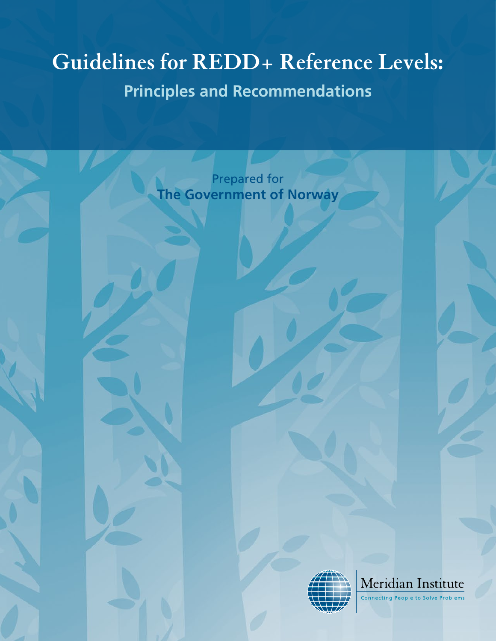# **Guidelines for REDD+ Reference Levels:**

# **Principles and Recommendations**

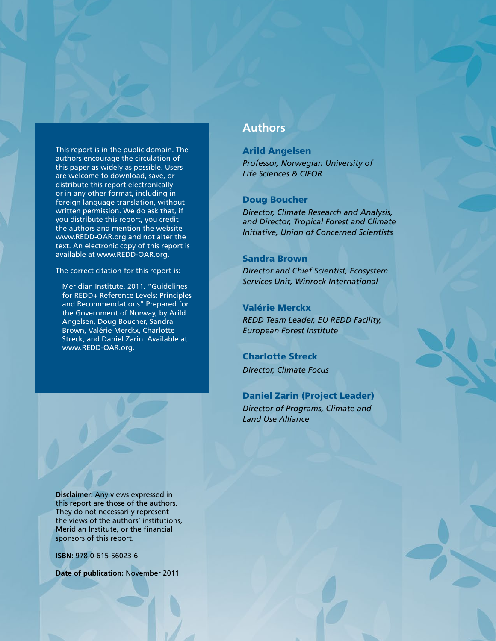This report is in the public domain. The authors encourage the circulation of this paper as widely as possible. Users are welcome to download, save, or distribute this report electronically or in any other format, including in foreign language translation, without written permission. We do ask that, if you distribute this report, you credit the authors and mention the website www.REDD-OAR.org and not alter the text. An electronic copy of this report is available at www.REDD-OAR.org.

The correct citation for this report is:

Meridian Institute. 2011. "Guidelines for REDD+ Reference Levels: Principles and Recommendations" Prepared for the Government of Norway, by Arild Angelsen, Doug Boucher, Sandra Brown, Valérie Merckx, Charlotte Streck, and Daniel Zarin. Available at www.REDD-OAR.org.

**Disclaimer:** Any views expressed in this report are those of the authors. They do not necessarily represent the views of the authors' institutions, Meridian Institute, or the financial sponsors of this report.

**ISBN:** 978-0-615-56023-6

**Date of publication:** November 2011

## **Authors**

### Arild Angelsen *Professor, Norwegian University of Life Sciences & CIFOR*

#### Doug Boucher

*Director, Climate Research and Analysis, and Director, Tropical Forest and Climate Initiative, Union of Concerned Scientists* 

#### Sandra Brown

*Director and Chief Scientist, Ecosystem Services Unit, Winrock International* 

### Valérie Merckx

*REDD Team Leader, EU REDD Facility, European Forest Institute*

Charlotte Streck *Director, Climate Focus*

Daniel Zarin (Project Leader) *Director of Programs, Climate and Land Use Alliance*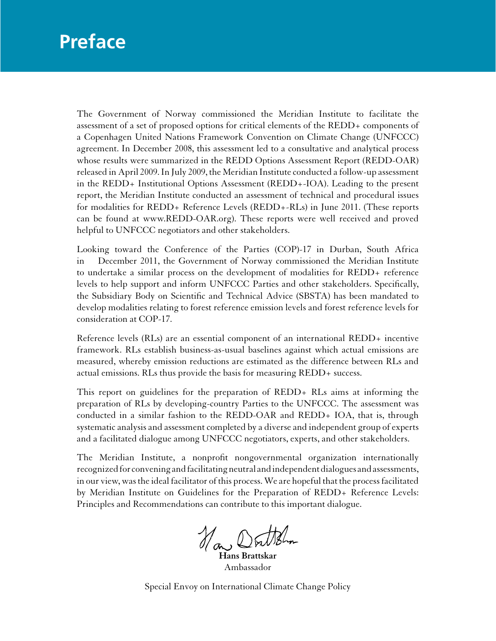# <span id="page-2-0"></span>**Preface**

The Government of Norway commissioned the Meridian Institute to facilitate the assessment of a set of proposed options for critical elements of the REDD+ components of a Copenhagen United Nations Framework Convention on Climate Change (UNFCCC) agreement. In December 2008, this assessment led to a consultative and analytical process whose results were summarized in the REDD Options Assessment Report (REDD-OAR) released in April 2009. In July 2009, the Meridian Institute conducted a follow-up assessment in the REDD+ Institutional Options Assessment (REDD+-IOA). Leading to the present report, the Meridian Institute conducted an assessment of technical and procedural issues for modalities for REDD+ Reference Levels (REDD+-RLs) in June 2011. (These reports can be found at www.REDD-OAR.org). These reports were well received and proved helpful to UNFCCC negotiators and other stakeholders.

Looking toward the Conference of the Parties (COP)-17 in Durban, South Africa in December 2011, the Government of Norway commissioned the Meridian Institute to undertake a similar process on the development of modalities for REDD+ reference levels to help support and inform UNFCCC Parties and other stakeholders. Specifically, the Subsidiary Body on Scientific and Technical Advice (SBSTA) has been mandated to develop modalities relating to forest reference emission levels and forest reference levels for consideration at COP-17.

Reference levels (RLs) are an essential component of an international REDD+ incentive framework. RLs establish business-as-usual baselines against which actual emissions are measured, whereby emission reductions are estimated as the difference between RLs and actual emissions. RLs thus provide the basis for measuring REDD+ success.

This report on guidelines for the preparation of REDD+ RLs aims at informing the preparation of RLs by developing-country Parties to the UNFCCC. The assessment was conducted in a similar fashion to the REDD-OAR and REDD+ IOA, that is, through systematic analysis and assessment completed by a diverse and independent group of experts and a facilitated dialogue among UNFCCC negotiators, experts, and other stakeholders.

The Meridian Institute, a nonprofit nongovernmental organization internationally recognized for convening and facilitating neutral and independent dialogues and assessments, in our view, was the ideal facilitator of this process. We are hopeful that the process facilitated by Meridian Institute on Guidelines for the Preparation of REDD+ Reference Levels: Principles and Recommendations can contribute to this important dialogue.

How Donthelm

**Hans Brattskar**  Ambassador

Special Envoy on International Climate Change Policy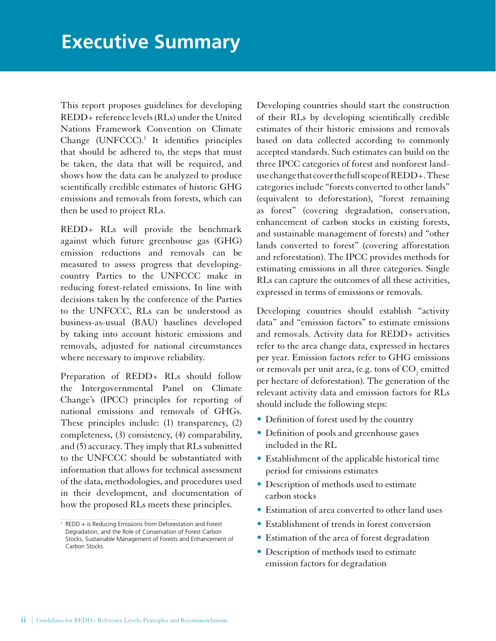<span id="page-3-0"></span>This report proposes guidelines for developing REDD+ reference levels (RLs) under the United Nations Framework Convention on Climate Change (UNFCCC).<sup>1</sup> It identifies principles that should be adhered to, the steps that must be taken, the data that will be required, and shows how the data can be analyzed to produce scientifically credible estimates of historic GHG emissions and removals from forests, which can then be used to project RLs.

REDD+ RLs will provide the benchmark against which future greenhouse gas (GHG) emission reductions and removals can be measured to assess progress that developingcountry Parties to the UNFCCC make in reducing forest-related emissions. In line with decisions taken by the conference of the Parties to the UNFCCC, RLs can be understood as business-as-usual (BAU) baselines developed by taking into account historic emissions and removals, adjusted for national circumstances where necessary to improve reliability.

Preparation of REDD+ RLs should follow the Intergovernmental Panel on Climate Change's (IPCC) principles for reporting of national emissions and removals of GHGs. These principles include: (1) transparency, (2) completeness, (3) consistency, (4) comparability, and (5) accuracy. They imply that RLs submitted to the UNFCCC should be substantiated with information that allows for technical assessment of the data, methodologies, and procedures used in their development, and documentation of how the proposed RLs meets these principles.

Developing countries should start the construction of their RLs by developing scientifically credible estimates of their historic emissions and removals based on data collected according to commonly accepted standards. Such estimates can build on the three IPCC categories of forest and nonforest landuse changethat cover the full scope of REDD+. These categories include "forests converted to other lands" (equivalent to deforestation), "forest remaining as forest" (covering degradation, conservation, enhancement of carbon stocks in existing forests, and sustainable management of forests) and "other lands converted to forest" (covering afforestation and reforestation). The IPCC provides methods for estimating emissions in all three categories. Single RLs can capture the outcomes of all these activities, expressed in terms of emissions or removals.

Developing countries should establish "activity data" and "emission factors" to estimate emissions and removals. Activity data for REDD+ activities refer to the area change data, expressed in hectares per year. Emission factors refer to GHG emissions or removals per unit area, (e.g. tons of  $\mathrm{CO}_2$  emitted per hectare of deforestation). The generation of the relevant activity data and emission factors for RLs should include the following steps:

- Definition of forest used by the country
- Definition of pools and greenhouse gases included in the RL
- Establishment of the applicable historical time period for emissions estimates
- • Description of methods used to estimate carbon stocks
- Estimation of area converted to other land uses
- • Establishment of trends in forest conversion
- Estimation of the area of forest degradation
- • Description of methods used to estimate emission factors for degradation

<sup>&</sup>lt;sup>1</sup> REDD + is Reducing Emissions from Deforestation and Forest Degradation, and the Role of Conservation of Forest Carbon Stocks, Sustainable Management of Forests and Enhancement of Carbon Stocks.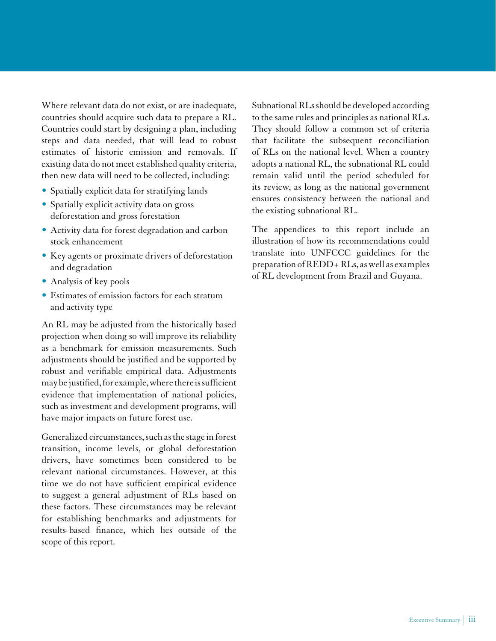Where relevant data do not exist, or are inadequate, countries should acquire such data to prepare a RL. Countries could start by designing a plan, including steps and data needed, that will lead to robust estimates of historic emission and removals. If existing data do not meet established quality criteria, then new data will need to be collected, including:

- • Spatially explicit data for stratifying lands
- Spatially explicit activity data on gross deforestation and gross forestation
- Activity data for forest degradation and carbon stock enhancement
- • Key agents or proximate drivers of deforestation and degradation
- Analysis of key pools
- • Estimates of emission factors for each stratum and activity type

An RL may be adjusted from the historically based projection when doing so will improve its reliability as a benchmark for emission measurements. Such adjustments should be justified and be supported by robust and verifiable empirical data. Adjustments may be justified, for example, where there is sufficient evidence that implementation of national policies, such as investment and development programs, will have major impacts on future forest use.

Generalized circumstances, such as the stage in forest transition, income levels, or global deforestation drivers, have sometimes been considered to be relevant national circumstances. However, at this time we do not have sufficient empirical evidence to suggest a general adjustment of RLs based on these factors. These circumstances may be relevant for establishing benchmarks and adjustments for results-based finance, which lies outside of the scope of this report.

Subnational RLs should be developed according to the same rules and principles as national RLs. They should follow a common set of criteria that facilitate the subsequent reconciliation of RLs on the national level. When a country adopts a national RL, the subnational RL could remain valid until the period scheduled for its review, as long as the national government ensures consistency between the national and the existing subnational RL.

The appendices to this report include an illustration of how its recommendations could translate into UNFCCC guidelines for the preparation of REDD+ RLs, as well as examples of RL development from Brazil and Guyana.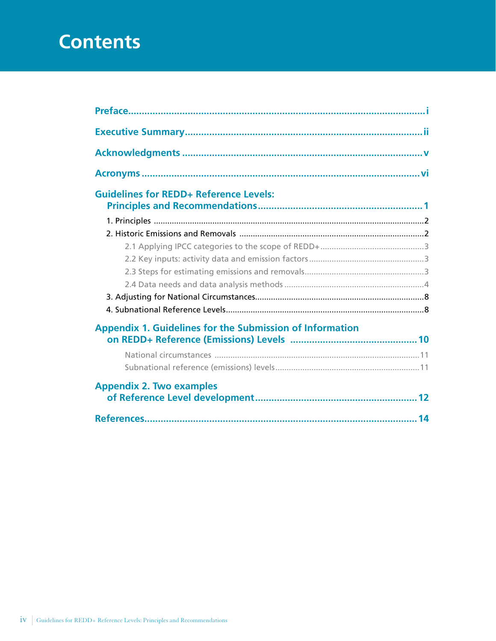# **Contents**

| <b>Guidelines for REDD+ Reference Levels:</b>                   |  |
|-----------------------------------------------------------------|--|
|                                                                 |  |
|                                                                 |  |
|                                                                 |  |
|                                                                 |  |
|                                                                 |  |
|                                                                 |  |
|                                                                 |  |
|                                                                 |  |
| <b>Appendix 1. Guidelines for the Submission of Information</b> |  |
|                                                                 |  |
|                                                                 |  |
| <b>Appendix 2. Two examples</b>                                 |  |
|                                                                 |  |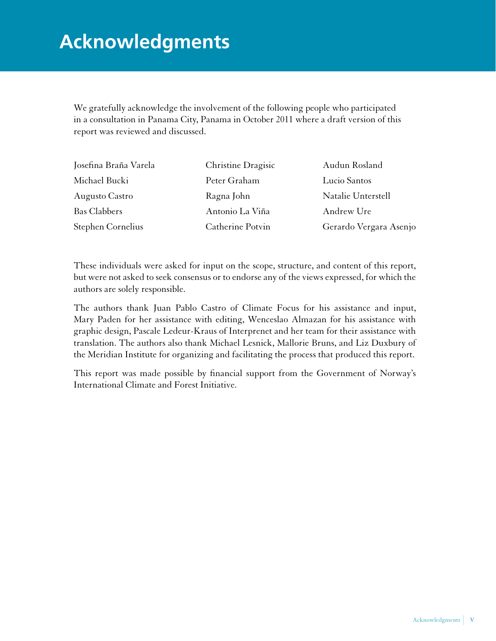# <span id="page-6-0"></span>**Acknowledgments**

We gratefully acknowledge the involvement of the following people who participated in a consultation in Panama City, Panama in October 2011 where a draft version of this report was reviewed and discussed.

| Josefina Braña Varela | Christine Dragisic | Audun Rosland          |
|-----------------------|--------------------|------------------------|
| Michael Bucki         | Peter Graham       | Lucio Santos           |
| Augusto Castro        | Ragna John         | Natalie Unterstell     |
| <b>Bas Clabbers</b>   | Antonio La Viña    | Andrew Ure             |
| Stephen Cornelius     | Catherine Potvin   | Gerardo Vergara Asenjo |

These individuals were asked for input on the scope, structure, and content of this report, but were not asked to seek consensus or to endorse any of the views expressed, for which the authors are solely responsible.

The authors thank Juan Pablo Castro of Climate Focus for his assistance and input, Mary Paden for her assistance with editing, Wenceslao Almazan for his assistance with graphic design, Pascale Ledeur-Kraus of Interprenet and her team for their assistance with translation. The authors also thank Michael Lesnick, Mallorie Bruns, and Liz Duxbury of the Meridian Institute for organizing and facilitating the process that produced this report.

This report was made possible by financial support from the Government of Norway's International Climate and Forest Initiative.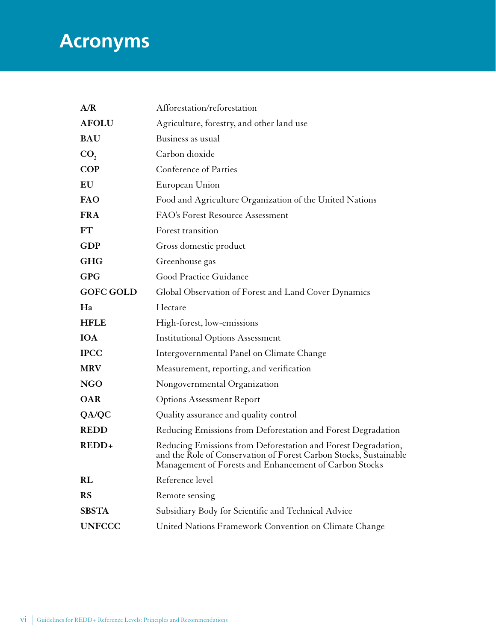# <span id="page-7-0"></span>**Acronyms**

| A/R              | Afforestation/reforestation                                                                                                                                                                  |
|------------------|----------------------------------------------------------------------------------------------------------------------------------------------------------------------------------------------|
| <b>AFOLU</b>     | Agriculture, forestry, and other land use                                                                                                                                                    |
| <b>BAU</b>       | Business as usual                                                                                                                                                                            |
| CO <sub>2</sub>  | Carbon dioxide                                                                                                                                                                               |
| COP              | Conference of Parties                                                                                                                                                                        |
| EU               | European Union                                                                                                                                                                               |
| FAO              | Food and Agriculture Organization of the United Nations                                                                                                                                      |
| <b>FRA</b>       | FAO's Forest Resource Assessment                                                                                                                                                             |
| <b>FT</b>        | Forest transition                                                                                                                                                                            |
| <b>GDP</b>       | Gross domestic product                                                                                                                                                                       |
| <b>GHG</b>       | Greenhouse gas                                                                                                                                                                               |
| <b>GPG</b>       | Good Practice Guidance                                                                                                                                                                       |
| <b>GOFC GOLD</b> | Global Observation of Forest and Land Cover Dynamics                                                                                                                                         |
| Ha               | Hectare                                                                                                                                                                                      |
| <b>HFLE</b>      | High-forest, low-emissions                                                                                                                                                                   |
| <b>IOA</b>       | <b>Institutional Options Assessment</b>                                                                                                                                                      |
| <b>IPCC</b>      | Intergovernmental Panel on Climate Change                                                                                                                                                    |
| <b>MRV</b>       | Measurement, reporting, and verification                                                                                                                                                     |
| <b>NGO</b>       | Nongovernmental Organization                                                                                                                                                                 |
| <b>OAR</b>       | <b>Options Assessment Report</b>                                                                                                                                                             |
| QA/QC            | Quality assurance and quality control                                                                                                                                                        |
| <b>REDD</b>      | Reducing Emissions from Deforestation and Forest Degradation                                                                                                                                 |
| REDD+            | Reducing Emissions from Deforestation and Forest Degradation,<br>and the Role of Conservation of Forest Carbon Stocks, Sustainable<br>Management of Forests and Enhancement of Carbon Stocks |
| <b>RL</b>        | Reference level                                                                                                                                                                              |
| <b>RS</b>        | Remote sensing                                                                                                                                                                               |
| <b>SBSTA</b>     | Subsidiary Body for Scientific and Technical Advice                                                                                                                                          |
| <b>UNFCCC</b>    | United Nations Framework Convention on Climate Change                                                                                                                                        |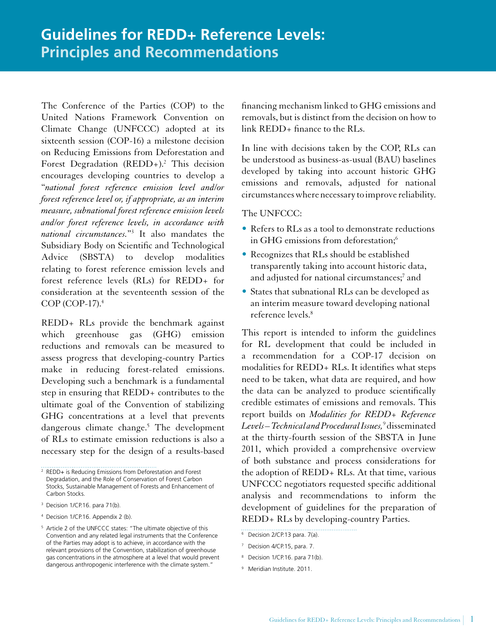<span id="page-8-0"></span>The Conference of the Parties (COP) to the United Nations Framework Convention on Climate Change (UNFCCC) adopted at its sixteenth session (COP-16) a milestone decision on Reducing Emissions from Deforestation and Forest Degradation (REDD+).<sup>2</sup> This decision encourages developing countries to develop a "*national forest reference emission level and/or forest reference level or, if appropriate, as an interim measure, subnational forest reference emission levels and/or forest reference levels, in accordance with national circumstances.*" 3 It also mandates the Subsidiary Body on Scientific and Technological Advice (SBSTA) to develop modalities relating to forest reference emission levels and forest reference levels (RLs) for REDD+ for consideration at the seventeenth session of the COP (COP-17).<sup>4</sup>

REDD+ RLs provide the benchmark against which greenhouse gas (GHG) emission reductions and removals can be measured to assess progress that developing-country Parties make in reducing forest-related emissions. Developing such a benchmark is a fundamental step in ensuring that REDD+ contributes to the ultimate goal of the Convention of stabilizing GHG concentrations at a level that prevents dangerous climate change.<sup>5</sup> The development of RLs to estimate emission reductions is also a necessary step for the design of a results-based

financing mechanism linked to GHG emissions and removals, but is distinct from the decision on how to  $link$  REDD+ finance to the RLs.

In line with decisions taken by the COP, RLs can be understood as business-as-usual (BAU) baselines developed by taking into account historic GHG emissions and removals, adjusted for national circumstances where necessary to improve reliability.

### The UNFCCC:

- Refers to RLs as a tool to demonstrate reductions in GHG emissions from deforestation;<sup>6</sup>
- Recognizes that RLs should be established transparently taking into account historic data, and adjusted for national circumstances; $^7$  and
- States that subnational RLs can be developed as an interim measure toward developing national reference levels.<sup>8</sup>

This report is intended to inform the guidelines for RL development that could be included in a recommendation for a COP-17 decision on modalities for REDD+ RLs. It identifies what steps need to be taken, what data are required, and how the data can be analyzed to produce scientifically credible estimates of emissions and removals. This report builds on *Modalities for REDD+ Reference Levels – Technical and Procedural Issues,*<sup>9</sup> disseminated at the thirty-fourth session of the SBSTA in June 2011, which provided a comprehensive overview of both substance and process considerations for the adoption of REDD+ RLs. At that time, various UNFCCC negotiators requested specific additional analysis and recommendations to inform the development of guidelines for the preparation of REDD+ RLs by developing-country Parties.

9 Meridian Institute. 2011.

<sup>2</sup> REDD+ is Reducing Emissions from Deforestation and Forest Degradation, and the Role of Conservation of Forest Carbon Stocks, Sustainable Management of Forests and Enhancement of Carbon Stocks.

<sup>3</sup> Decision 1/CP.16. para 71(b).

<sup>4</sup> Decision 1/CP.16. Appendix 2 (b).

<sup>&</sup>lt;sup>5</sup> Article 2 of the UNFCCC states: "The ultimate objective of this Convention and any related legal instruments that the Conference of the Parties may adopt is to achieve, in accordance with the relevant provisions of the Convention, stabilization of greenhouse gas concentrations in the atmosphere at a level that would prevent dangerous anthropogenic interference with the climate system."

<sup>6</sup> Decision 2/CP.13 para. 7(a).

<sup>7</sup> Decision 4/CP.15, para. 7.

<sup>8</sup> Decision 1/CP.16. para 71(b).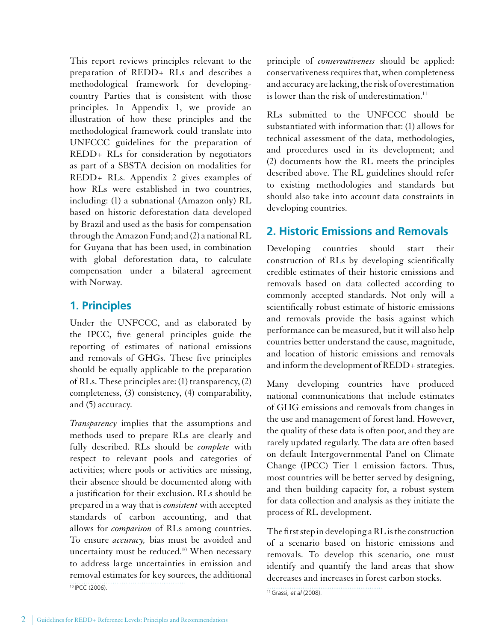<span id="page-9-0"></span>This report reviews principles relevant to the preparation of REDD+ RLs and describes a methodological framework for developingcountry Parties that is consistent with those principles. In Appendix 1, we provide an illustration of how these principles and the methodological framework could translate into UNFCCC guidelines for the preparation of REDD+ RLs for consideration by negotiators as part of a SBSTA decision on modalities for REDD+ RLs. Appendix 2 gives examples of how RLs were established in two countries, including: (1) a subnational (Amazon only) RL based on historic deforestation data developed by Brazil and used as the basis for compensation through the Amazon Fund; and (2) a national RL for Guyana that has been used, in combination with global deforestation data, to calculate compensation under a bilateral agreement with Norway.

# **1. Principles**

Under the UNFCCC, and as elaborated by the IPCC, five general principles guide the reporting of estimates of national emissions and removals of GHGs. These five principles should be equally applicable to the preparation of RLs. These principles are: (1) transparency, (2) completeness, (3) consistency, (4) comparability, and (5) accuracy.

*Transparency* implies that the assumptions and methods used to prepare RLs are clearly and fully described. RLs should be *complete* with respect to relevant pools and categories of activities; where pools or activities are missing, their absence should be documented along with a justification for their exclusion. RLs should be prepared in a way that is *consistent* with accepted standards of carbon accounting, and that allows for *comparison* of RLs among countries. To ensure *accuracy,* bias must be avoided and uncertainty must be reduced.<sup>10</sup> When necessary to address large uncertainties in emission and removal estimates for key sources, the additional <sup>10</sup> IPCC (2006).

principle of *conservativeness* should be applied: conservativeness requires that, when completeness and accuracy are lacking, the risk of overestimation is lower than the risk of underestimation. $11$ 

RLs submitted to the UNFCCC should be substantiated with information that: (1) allows for technical assessment of the data, methodologies, and procedures used in its development; and (2) documents how the RL meets the principles described above. The RL guidelines should refer to existing methodologies and standards but should also take into account data constraints in developing countries.

# **2. Historic Emissions and Removals**

Developing countries should start their construction of RLs by developing scientifically credible estimates of their historic emissions and removals based on data collected according to commonly accepted standards. Not only will a scientifically robust estimate of historic emissions and removals provide the basis against which performance can be measured, but it will also help countries better understand the cause, magnitude, and location of historic emissions and removals and inform the development of REDD+ strategies.

Many developing countries have produced national communications that include estimates of GHG emissions and removals from changes in the use and management of forest land. However, the quality of these data is often poor, and they are rarely updated regularly. The data are often based on default Intergovernmental Panel on Climate Change (IPCC) Tier 1 emission factors. Thus, most countries will be better served by designing, and then building capacity for, a robust system for data collection and analysis as they initiate the process of RL development.

The first step in developing a RL is the construction of a scenario based on historic emissions and removals. To develop this scenario, one must identify and quantify the land areas that show decreases and increases in forest carbon stocks.

11 Grassi, *et al* (2008).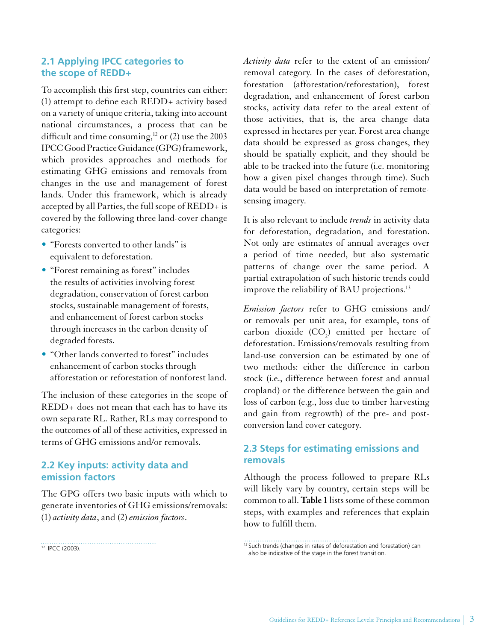## <span id="page-10-0"></span>**2.1 Applying IPCC categories to the scope of REDD+**

To accomplish this first step, countries can either: (1) attempt to define each REDD+ activity based on a variety of unique criteria, taking into account national circumstances, a process that can be difficult and time consuming, $12$  or (2) use the 2003 IPCC Good Practice Guidance (GPG) framework, which provides approaches and methods for estimating GHG emissions and removals from changes in the use and management of forest lands. Under this framework, which is already accepted by all Parties, the full scope of REDD+ is covered by the following three land-cover change categories:

- "Forests converted to other lands" is equivalent to deforestation.
- "Forest remaining as forest" includes the results of activities involving forest degradation, conservation of forest carbon stocks, sustainable management of forests, and enhancement of forest carbon stocks through increases in the carbon density of degraded forests.
- "Other lands converted to forest" includes enhancement of carbon stocks through afforestation or reforestation of nonforest land.

The inclusion of these categories in the scope of REDD+ does not mean that each has to have its own separate RL. Rather, RLs may correspond to the outcomes of all of these activities, expressed in terms of GHG emissions and/or removals.

## **2.2 Key inputs: activity data and emission factors**

The GPG offers two basic inputs with which to generate inventories of GHG emissions/removals: (1) *activity data*, and (2) *emission factors*.

*Activity data* refer to the extent of an emission/ removal category. In the cases of deforestation, forestation (afforestation/reforestation), forest degradation, and enhancement of forest carbon stocks, activity data refer to the areal extent of those activities, that is, the area change data expressed in hectares per year. Forest area change data should be expressed as gross changes, they should be spatially explicit, and they should be able to be tracked into the future (i.e. monitoring how a given pixel changes through time). Such data would be based on interpretation of remotesensing imagery.

It is also relevant to include *trends* in activity data for deforestation, degradation, and forestation. Not only are estimates of annual averages over a period of time needed, but also systematic patterns of change over the same period. A partial extrapolation of such historic trends could improve the reliability of BAU projections.<sup>13</sup>

*Emission factors* refer to GHG emissions and/ or removals per unit area, for example, tons of carbon dioxide  $(CO_2)$  emitted per hectare of deforestation. Emissions/removals resulting from land-use conversion can be estimated by one of two methods: either the difference in carbon stock (i.e., difference between forest and annual cropland) or the difference between the gain and loss of carbon (e.g., loss due to timber harvesting and gain from regrowth) of the pre- and postconversion land cover category.

## **2.3 Steps for estimating emissions and removals**

Although the process followed to prepare RLs will likely vary by country, certain steps will be common to all. **Table 1** lists some of these common steps, with examples and references that explain how to fulfill them.

<sup>12</sup> IPCC (2003).

<sup>&</sup>lt;sup>13</sup> Such trends (changes in rates of deforestation and forestation) can also be indicative of the stage in the forest transition.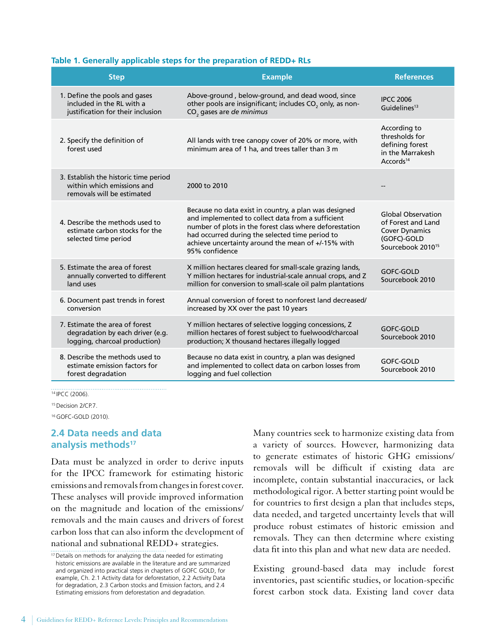#### <span id="page-11-0"></span>**Table 1. Generally applicable steps for the preparation of REDD+ RLs**

| <b>Step</b>                                                                                         | <b>Example</b>                                                                                                                                                                                                                                                                                   | <b>References</b>                                                                                                        |
|-----------------------------------------------------------------------------------------------------|--------------------------------------------------------------------------------------------------------------------------------------------------------------------------------------------------------------------------------------------------------------------------------------------------|--------------------------------------------------------------------------------------------------------------------------|
| 1. Define the pools and gases<br>included in the RL with a<br>justification for their inclusion     | Above-ground, below-ground, and dead wood, since<br>other pools are insignificant; includes CO <sub>2</sub> only, as non-<br>CO <sub>2</sub> gases are de minimus                                                                                                                                | <b>IPCC 2006</b><br>Guidelines <sup>13</sup>                                                                             |
| 2. Specify the definition of<br>forest used                                                         | All lands with tree canopy cover of 20% or more, with<br>minimum area of 1 ha, and trees taller than 3 m                                                                                                                                                                                         | According to<br>thresholds for<br>defining forest<br>in the Marrakesh<br>Accords <sup>14</sup>                           |
| 3. Establish the historic time period<br>within which emissions and<br>removals will be estimated   | 2000 to 2010                                                                                                                                                                                                                                                                                     |                                                                                                                          |
| 4. Describe the methods used to<br>estimate carbon stocks for the<br>selected time period           | Because no data exist in country, a plan was designed<br>and implemented to collect data from a sufficient<br>number of plots in the forest class where deforestation<br>had occurred during the selected time period to<br>achieve uncertainty around the mean of +/-15% with<br>95% confidence | <b>Global Observation</b><br>of Forest and Land<br><b>Cover Dynamics</b><br>(GOFC)-GOLD<br>Sourcebook 2010 <sup>15</sup> |
| 5. Estimate the area of forest<br>annually converted to different<br>land uses                      | X million hectares cleared for small-scale grazing lands,<br>Y million hectares for industrial-scale annual crops, and Z<br>million for conversion to small-scale oil palm plantations                                                                                                           | <b>GOFC-GOLD</b><br>Sourcebook 2010                                                                                      |
| 6. Document past trends in forest<br>conversion                                                     | Annual conversion of forest to nonforest land decreased/<br>increased by XX over the past 10 years                                                                                                                                                                                               |                                                                                                                          |
| 7. Estimate the area of forest<br>degradation by each driver (e.g.<br>logging, charcoal production) | Y million hectares of selective logging concessions, Z<br>million hectares of forest subject to fuelwood/charcoal<br>production; X thousand hectares illegally logged                                                                                                                            | GOFC-GOLD<br>Sourcebook 2010                                                                                             |
| 8. Describe the methods used to<br>estimate emission factors for<br>forest degradation              | Because no data exist in country, a plan was designed<br>and implemented to collect data on carbon losses from<br>logging and fuel collection                                                                                                                                                    | GOFC-GOLD<br>Sourcebook 2010                                                                                             |

<sup>14</sup> IPCC (2006).

<sup>15</sup> Decision 2/CP.7.

<sup>16</sup> GOFC-GOLD (2010).

### **2.4 Data needs and data analysis methods<sup>17</sup>**

Data must be analyzed in order to derive inputs for the IPCC framework for estimating historic emissions and removals from changes in forest cover. These analyses will provide improved information on the magnitude and location of the emissions/ removals and the main causes and drivers of forest carbon loss that can also inform the development of national and subnational REDD+ strategies.

Many countries seek to harmonize existing data from a variety of sources. However, harmonizing data to generate estimates of historic GHG emissions/ removals will be difficult if existing data are incomplete, contain substantial inaccuracies, or lack methodological rigor. A better starting point would be for countries to first design a plan that includes steps, data needed, and targeted uncertainty levels that will produce robust estimates of historic emission and removals. They can then determine where existing data fit into this plan and what new data are needed.

Existing ground-based data may include forest inventories, past scientific studies, or location-specific forest carbon stock data. Existing land cover data

<sup>&</sup>lt;sup>17</sup> Details on methods for analyzing the data needed for estimating historic emissions are available in the literature and are summarized and organized into practical steps in chapters of GOFC GOLD, for example, Ch. 2.1 Activity data for deforestation, 2.2 Activity Data for degradation, 2.3 Carbon stocks and Emission factors, and 2.4 Estimating emissions from deforestation and degradation.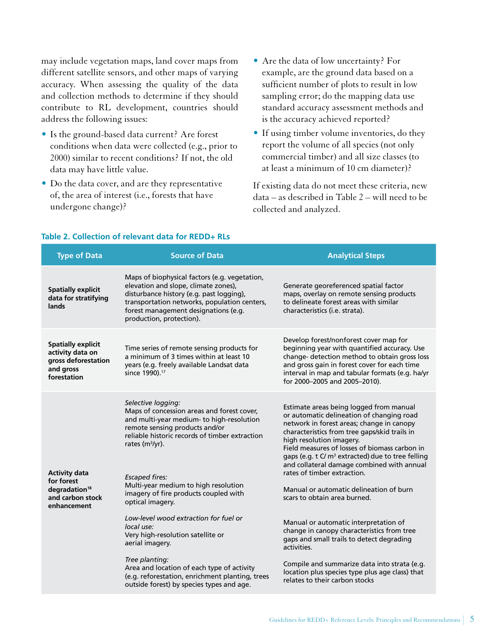may include vegetation maps, land cover maps from different satellite sensors, and other maps of varying accuracy. When assessing the quality of the data and collection methods to determine if they should contribute to RL development, countries should address the following issues:

- • Is the ground-based data current? Are forest conditions when data were collected (e.g., prior to 2000) similar to recent conditions? If not, the old data may have little value.
- • Do the data cover, and are they representative of, the area of interest (i.e., forests that have undergone change)?
- • Are the data of low uncertainty? For example, are the ground data based on a sufficient number of plots to result in low sampling error; do the mapping data use standard accuracy assessment methods and is the accuracy achieved reported?
- • If using timber volume inventories, do they report the volume of all species (not only commercial timber) and all size classes (to at least a minimum of 10 cm diameter)?

If existing data do not meet these criteria, new data – as described in Table 2 – will need to be collected and analyzed.

| <b>Type of Data</b>                                                                                | <b>Source of Data</b>                                                                                                                                                                                                                                                                                                                                                                                                                                                                                                                                                                                                               | <b>Analytical Steps</b>                                                                                                                                                                                                                                                                                                                                                                                                                                                                                                                                                                                                                                                                                                                                                         |
|----------------------------------------------------------------------------------------------------|-------------------------------------------------------------------------------------------------------------------------------------------------------------------------------------------------------------------------------------------------------------------------------------------------------------------------------------------------------------------------------------------------------------------------------------------------------------------------------------------------------------------------------------------------------------------------------------------------------------------------------------|---------------------------------------------------------------------------------------------------------------------------------------------------------------------------------------------------------------------------------------------------------------------------------------------------------------------------------------------------------------------------------------------------------------------------------------------------------------------------------------------------------------------------------------------------------------------------------------------------------------------------------------------------------------------------------------------------------------------------------------------------------------------------------|
| <b>Spatially explicit</b><br>data for stratifying<br>lands                                         | Maps of biophysical factors (e.g. vegetation,<br>elevation and slope, climate zones),<br>disturbance history (e.g. past logging),<br>transportation networks, population centers,<br>forest management designations (e.g.<br>production, protection).                                                                                                                                                                                                                                                                                                                                                                               | Generate georeferenced spatial factor<br>maps, overlay on remote sensing products<br>to delineate forest areas with similar<br>characteristics (i.e. strata).                                                                                                                                                                                                                                                                                                                                                                                                                                                                                                                                                                                                                   |
| <b>Spatially explicit</b><br>activity data on<br>gross deforestation<br>and gross<br>forestation   | Time series of remote sensing products for<br>a minimum of 3 times within at least 10<br>years (e.g. freely available Landsat data<br>since 1990). <sup>17</sup>                                                                                                                                                                                                                                                                                                                                                                                                                                                                    | Develop forest/nonforest cover map for<br>beginning year with quantified accuracy. Use<br>change- detection method to obtain gross loss<br>and gross gain in forest cover for each time<br>interval in map and tabular formats (e.g. ha/yr<br>for 2000-2005 and 2005-2010).                                                                                                                                                                                                                                                                                                                                                                                                                                                                                                     |
| <b>Activity data</b><br>for forest<br>degradation <sup>18</sup><br>and carbon stock<br>enhancement | Selective logging:<br>Maps of concession areas and forest cover,<br>and multi-year medium- to high-resolution<br>remote sensing products and/or<br>reliable historic records of timber extraction<br>rates $(m3/yr)$ .<br><b>Escaped fires:</b><br>Multi-year medium to high resolution<br>imagery of fire products coupled with<br>optical imagery.<br>Low-level wood extraction for fuel or<br>local use:<br>Very high-resolution satellite or<br>aerial imagery.<br>Tree planting:<br>Area and location of each type of activity<br>(e.g. reforestation, enrichment planting, trees<br>outside forest) by species types and age. | Estimate areas being logged from manual<br>or automatic delineation of changing road<br>network in forest areas; change in canopy<br>characteristics from tree gaps/skid trails in<br>high resolution imagery.<br>Field measures of losses of biomass carbon in<br>gaps (e.g. t C/m <sup>3</sup> extracted) due to tree felling<br>and collateral damage combined with annual<br>rates of timber extraction.<br>Manual or automatic delineation of burn<br>scars to obtain area burned.<br>Manual or automatic interpretation of<br>change in canopy characteristics from tree<br>gaps and small trails to detect degrading<br>activities.<br>Compile and summarize data into strata (e.g.<br>location plus species type plus age class) that<br>relates to their carbon stocks |

### **Table 2. Collection of relevant data for REDD+ RLs**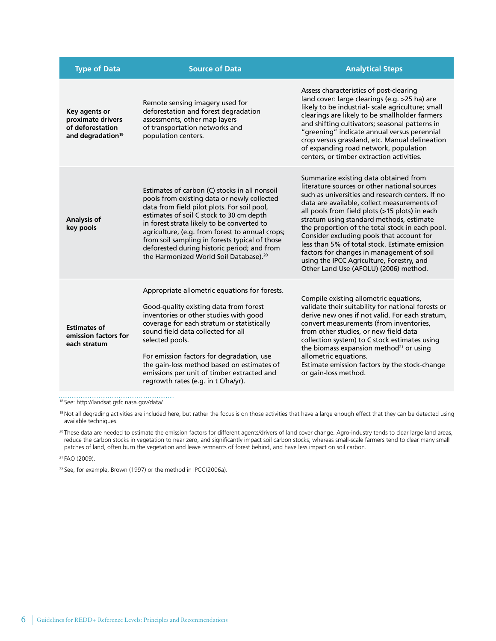| <b>Type of Data</b>                                                                     | <b>Source of Data</b>                                                                                                                                                                                                                                                                                                                                                                                                                           | <b>Analytical Steps</b>                                                                                                                                                                                                                                                                                                                                                                                                                                                                                                                                                     |
|-----------------------------------------------------------------------------------------|-------------------------------------------------------------------------------------------------------------------------------------------------------------------------------------------------------------------------------------------------------------------------------------------------------------------------------------------------------------------------------------------------------------------------------------------------|-----------------------------------------------------------------------------------------------------------------------------------------------------------------------------------------------------------------------------------------------------------------------------------------------------------------------------------------------------------------------------------------------------------------------------------------------------------------------------------------------------------------------------------------------------------------------------|
| Key agents or<br>proximate drivers<br>of deforestation<br>and degradation <sup>19</sup> | Remote sensing imagery used for<br>deforestation and forest degradation<br>assessments, other map layers<br>of transportation networks and<br>population centers.                                                                                                                                                                                                                                                                               | Assess characteristics of post-clearing<br>land cover: large clearings (e.g. >25 ha) are<br>likely to be industrial- scale agriculture; small<br>clearings are likely to be smallholder farmers<br>and shifting cultivators; seasonal patterns in<br>"greening" indicate annual versus perennial<br>crop versus grassland, etc. Manual delineation<br>of expanding road network, population<br>centers, or timber extraction activities.                                                                                                                                    |
| <b>Analysis of</b><br>key pools                                                         | Estimates of carbon (C) stocks in all nonsoil<br>pools from existing data or newly collected<br>data from field pilot plots. For soil pool,<br>estimates of soil C stock to 30 cm depth<br>in forest strata likely to be converted to<br>agriculture, (e.g. from forest to annual crops;<br>from soil sampling in forests typical of those<br>deforested during historic period; and from<br>the Harmonized World Soil Database). <sup>20</sup> | Summarize existing data obtained from<br>literature sources or other national sources<br>such as universities and research centers. If no<br>data are available, collect measurements of<br>all pools from field plots (>15 plots) in each<br>stratum using standard methods, estimate<br>the proportion of the total stock in each pool.<br>Consider excluding pools that account for<br>less than 5% of total stock. Estimate emission<br>factors for changes in management of soil<br>using the IPCC Agriculture, Forestry, and<br>Other Land Use (AFOLU) (2006) method. |
| <b>Estimates of</b><br>emission factors for<br>each stratum                             | Appropriate allometric equations for forests.<br>Good-quality existing data from forest<br>inventories or other studies with good<br>coverage for each stratum or statistically<br>sound field data collected for all<br>selected pools.<br>For emission factors for degradation, use<br>the gain-loss method based on estimates of<br>emissions per unit of timber extracted and<br>regrowth rates (e.g. in t C/ha/yr).                        | Compile existing allometric equations,<br>validate their suitability for national forests or<br>derive new ones if not valid. For each stratum,<br>convert measurements (from inventories,<br>from other studies, or new field data<br>collection system) to C stock estimates using<br>the biomass expansion method <sup>21</sup> or using<br>allometric equations.<br>Estimate emission factors by the stock-change<br>or gain-loss method.                                                                                                                               |

<sup>18</sup> See: <http://landsat.gsfc.nasa.gov/data/>

<sup>19</sup> Not all degrading activities are included here, but rather the focus is on those activities that have a large enough effect that they can be detected using available techniques.

<sup>20</sup> These data are needed to estimate the emission factors for different agents/drivers of land cover change. Agro-industry tends to clear large land areas, reduce the carbon stocks in vegetation to near zero, and significantly impact soil carbon stocks; whereas small-scale farmers tend to clear many small patches of land, often burn the vegetation and leave remnants of forest behind, and have less impact on soil carbon.

<sup>21</sup> FAO (2009).

<sup>22</sup> See, for example, Brown (1997) or the method in IPCC(2006a).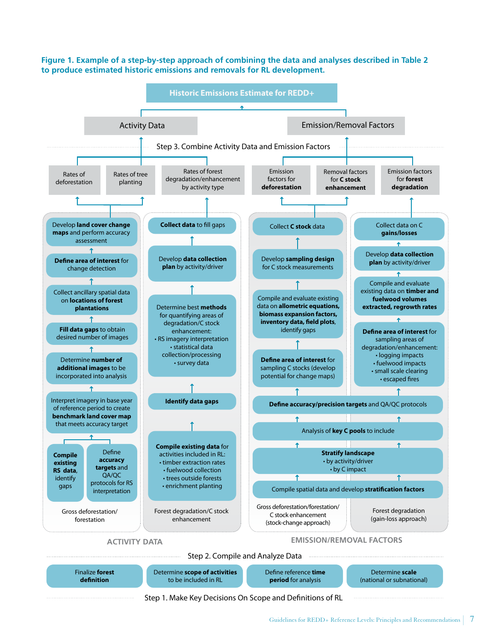**Figure 1. Example of a step-by-step approach of combining the data and analyses described in Table 2 to produce estimated historic emissions and removals for RL development.**



Step 1. Make Key Decisions On Scope and Definitions of RL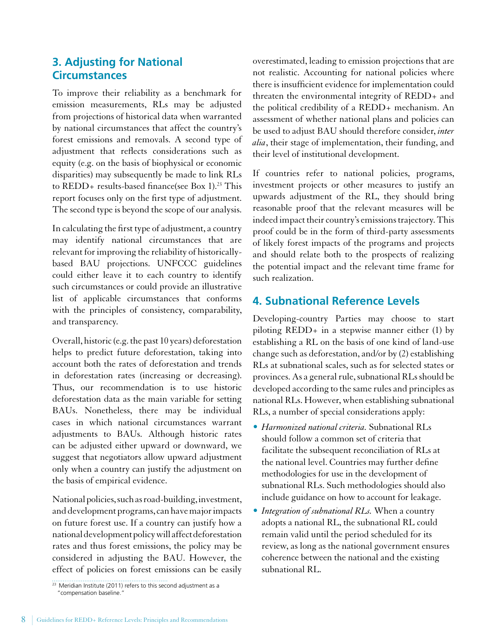# <span id="page-15-0"></span>**3. Adjusting for National Circumstances**

To improve their reliability as a benchmark for emission measurements, RLs may be adjusted from projections of historical data when warranted by national circumstances that affect the country's forest emissions and removals. A second type of adjustment that reflects considerations such as equity (e.g. on the basis of biophysical or economic disparities) may subsequently be made to link RLs to REDD+ results-based finance(see Box 1).<sup>23</sup> This report focuses only on the first type of adjustment. The second type is beyond the scope of our analysis.

In calculating the first type of adjustment, a country may identify national circumstances that are relevant for improving the reliability of historicallybased BAU projections. UNFCCC guidelines could either leave it to each country to identify such circumstances or could provide an illustrative list of applicable circumstances that conforms with the principles of consistency, comparability, and transparency.

Overall, historic (e.g. the past 10 years) deforestation helps to predict future deforestation, taking into account both the rates of deforestation and trends in deforestation rates (increasing or decreasing). Thus, our recommendation is to use historic deforestation data as the main variable for setting BAUs. Nonetheless, there may be individual cases in which national circumstances warrant adjustments to BAUs. Although historic rates can be adjusted either upward or downward, we suggest that negotiators allow upward adjustment only when a country can justify the adjustment on the basis of empirical evidence.

National policies, such as road-building, investment, and development programs, can have major impacts on future forest use. If a country can justify how a national development policy will affect deforestation rates and thus forest emissions, the policy may be considered in adjusting the BAU. However, the effect of policies on forest emissions can be easily overestimated, leading to emission projections that are not realistic. Accounting for national policies where there is insufficient evidence for implementation could threaten the environmental integrity of REDD+ and the political credibility of a REDD+ mechanism. An assessment of whether national plans and policies can be used to adjust BAU should therefore consider, *inter alia*, their stage of implementation, their funding, and their level of institutional development.

If countries refer to national policies, programs, investment projects or other measures to justify an upwards adjustment of the RL, they should bring reasonable proof that the relevant measures will be indeed impact their country's emissions trajectory. This proof could be in the form of third-party assessments of likely forest impacts of the programs and projects and should relate both to the prospects of realizing the potential impact and the relevant time frame for such realization.

# **4. Subnational Reference Levels**

Developing-country Parties may choose to start piloting REDD+ in a stepwise manner either (1) by establishing a RL on the basis of one kind of land-use change such as deforestation, and/or by (2) establishing RLs at subnational scales, such as for selected states or provinces. As a general rule, subnational RLs should be developed according to the same rules and principles as national RLs. However, when establishing subnational RLs, a number of special considerations apply:

- • *Harmonized national criteria.* Subnational RLs should follow a common set of criteria that facilitate the subsequent reconciliation of RLs at the national level. Countries may further define methodologies for use in the development of subnational RLs. Such methodologies should also include guidance on how to account for leakage.
- *Integration of subnational RLs*. When a country adopts a national RL, the subnational RL could remain valid until the period scheduled for its review, as long as the national government ensures coherence between the national and the existing subnational RL.

<sup>&</sup>lt;sup>23</sup> Meridian Institute (2011) refers to this second adjustment as a "compensation baseline."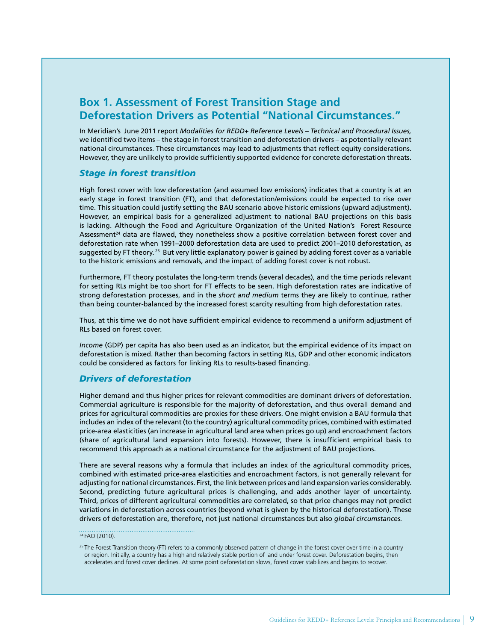# **Box 1. Assessment of Forest Transition Stage and Deforestation Drivers as Potential "National Circumstances."**

In Meridian's June 2011 report *Modalities for REDD+ Reference Levels – Technical and Procedural Issues,* we identified two items – the stage in forest transition and deforestation drivers – as potentially relevant national circumstances. These circumstances may lead to adjustments that reflect equity considerations. However, they are unlikely to provide sufficiently supported evidence for concrete deforestation threats.

#### *Stage in forest transition*

High forest cover with low deforestation (and assumed low emissions) indicates that a country is at an early stage in forest transition (FT), and that deforestation/emissions could be expected to rise over time. This situation could justify setting the BAU scenario above historic emissions (upward adjustment). However, an empirical basis for a generalized adjustment to national BAU projections on this basis is lacking. Although the Food and Agriculture Organization of the United Nation's Forest Resource Assessment<sup>24</sup> data are flawed, they nonetheless show a positive correlation between forest cover and deforestation rate when 1991–2000 deforestation data are used to predict 2001–2010 deforestation, as suggested by FT theory.<sup>25</sup> But very little explanatory power is gained by adding forest cover as a variable to the historic emissions and removals, and the impact of adding forest cover is not robust.

Furthermore, FT theory postulates the long-term trends (several decades), and the time periods relevant for setting RLs might be too short for FT effects to be seen. High deforestation rates are indicative of strong deforestation processes, and in the *short and medium* terms they are likely to continue, rather than being counter-balanced by the increased forest scarcity resulting from high deforestation rates.

Thus, at this time we do not have sufficient empirical evidence to recommend a uniform adjustment of RLs based on forest cover.

*Income* (GDP) per capita has also been used as an indicator, but the empirical evidence of its impact on deforestation is mixed. Rather than becoming factors in setting RLs, GDP and other economic indicators could be considered as factors for linking RLs to results-based financing.

### *Drivers of deforestation*

Higher demand and thus higher prices for relevant commodities are dominant drivers of deforestation. Commercial agriculture is responsible for the majority of deforestation, and thus overall demand and prices for agricultural commodities are proxies for these drivers. One might envision a BAU formula that includes an index of the relevant (to the country) agricultural commodity prices, combined with estimated price-area elasticities (an increase in agricultural land area when prices go up) and encroachment factors (share of agricultural land expansion into forests). However, there is insufficient empirical basis to recommend this approach as a national circumstance for the adjustment of BAU projections.

There are several reasons why a formula that includes an index of the agricultural commodity prices, combined with estimated price-area elasticities and encroachment factors, is not generally relevant for adjusting for national circumstances. First, the link between prices and land expansion varies considerably. Second, predicting future agricultural prices is challenging, and adds another layer of uncertainty. Third, prices of different agricultural commodities are correlated, so that price changes may not predict variations in deforestation across countries (beyond what is given by the historical deforestation). These drivers of deforestation are, therefore, not just national circumstances but also *global circumstances.* 

#### <sup>24</sup> FAO (2010).

<sup>&</sup>lt;sup>25</sup> The Forest Transition theory (FT) refers to a commonly observed pattern of change in the forest cover over time in a country or region. Initially, a country has a high and relatively stable portion of land under forest cover. Deforestation begins, then accelerates and forest cover declines. At some point deforestation slows, forest cover stabilizes and begins to recover.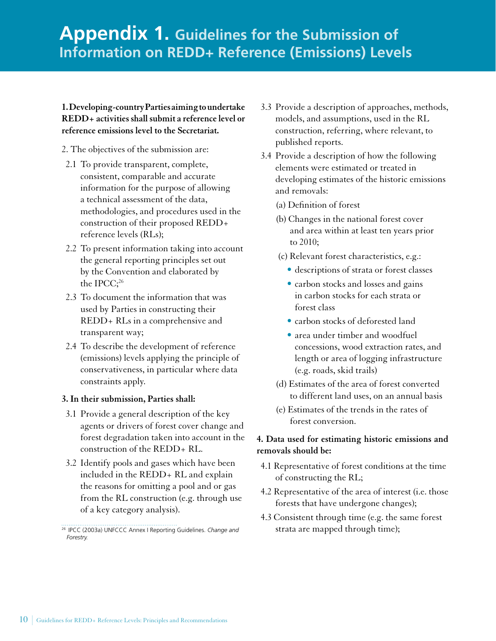## <span id="page-17-0"></span>**1. Developing-country Parties aiming to undertake REDD+ activities shall submit a reference level or reference emissions level to the Secretariat.**

- 2. The objectives of the submission are:
- 2.1 To provide transparent, complete, consistent, comparable and accurate information for the purpose of allowing a technical assessment of the data, methodologies, and procedures used in the construction of their proposed REDD+ reference levels (RLs);
- 2.2 To present information taking into account the general reporting principles set out by the Convention and elaborated by the IPCC;<sup>26</sup>
- 2.3 To document the information that was used by Parties in constructing their REDD+ RLs in a comprehensive and transparent way;
- 2.4 To describe the development of reference (emissions) levels applying the principle of conservativeness, in particular where data constraints apply.

## **3. In their submission, Parties shall:**

- 3.1 Provide a general description of the key agents or drivers of forest cover change and forest degradation taken into account in the construction of the REDD+ RL.
- 3.2 Identify pools and gases which have been included in the REDD+ RL and explain the reasons for omitting a pool and or gas from the RL construction (e.g. through use of a key category analysis).
- 3.3 Provide a description of approaches, methods, models, and assumptions, used in the RL construction, referring, where relevant, to published reports.
- 3.4 Provide a description of how the following elements were estimated or treated in developing estimates of the historic emissions and removals:
	- (a) Definition of forest
	- (b) Changes in the national forest cover and area within at least ten years prior to 2010;
	- (c) Relevant forest characteristics, e.g.:
		- • descriptions of strata or forest classes
		- carbon stocks and losses and gains in carbon stocks for each strata or forest class
		- • carbon stocks of deforested land
		- area under timber and woodfuel concessions, wood extraction rates, and length or area of logging infrastructure (e.g. roads, skid trails)
	- (d) Estimates of the area of forest converted to different land uses, on an annual basis
	- (e) Estimates of the trends in the rates of forest conversion.

## **4. Data used for estimating historic emissions and removals should be:**

- 4.1 Representative of forest conditions at the time of constructing the RL;
- 4.2 Representative of the area of interest (i.e. those forests that have undergone changes);
- 4.3 Consistent through time (e.g. the same forest strata are mapped through time);

<sup>26</sup> IPCC (2003a) UNFCCC Annex I Reporting Guidelines. *Change and Forestry.*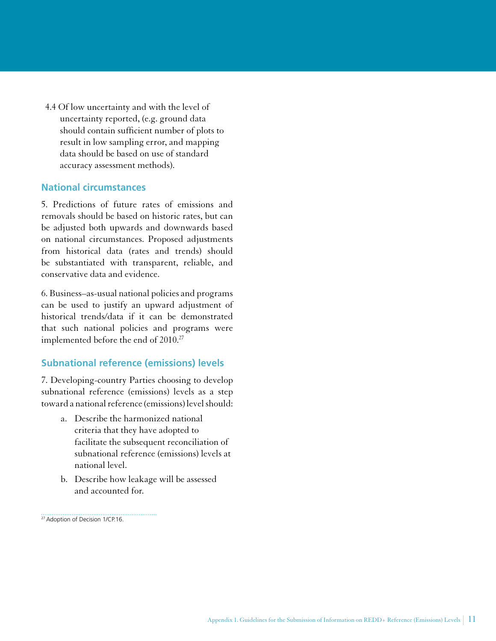<span id="page-18-0"></span>4.4 Of low uncertainty and with the level of uncertainty reported, (e.g. ground data should contain sufficient number of plots to result in low sampling error, and mapping data should be based on use of standard accuracy assessment methods).

### **National circumstances**

5. Predictions of future rates of emissions and removals should be based on historic rates, but can be adjusted both upwards and downwards based on national circumstances. Proposed adjustments from historical data (rates and trends) should be substantiated with transparent, reliable, and conservative data and evidence.

6. Business–as-usual national policies and programs can be used to justify an upward adjustment of historical trends/data if it can be demonstrated that such national policies and programs were implemented before the end of 2010.<sup>27</sup>

## **Subnational reference (emissions) levels**

7. Developing-country Parties choosing to develop subnational reference (emissions) levels as a step toward a national reference (emissions) level should:

- a. Describe the harmonized national criteria that they have adopted to facilitate the subsequent reconciliation of subnational reference (emissions) levels at national level.
- b. Describe how leakage will be assessed and accounted for.

. . . . . . . . . . . . . . . . . . 27 Adoption of Decision 1/CP.16.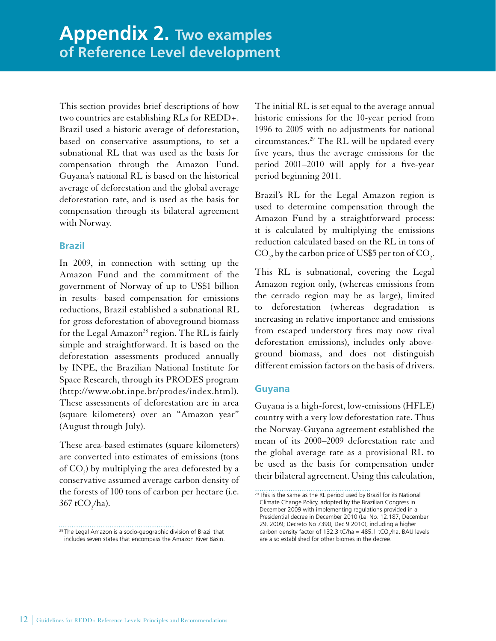<span id="page-19-0"></span>This section provides brief descriptions of how two countries are establishing RLs for REDD+. Brazil used a historic average of deforestation, based on conservative assumptions, to set a subnational RL that was used as the basis for compensation through the Amazon Fund. Guyana's national RL is based on the historical average of deforestation and the global average deforestation rate, and is used as the basis for compensation through its bilateral agreement with Norway.

## **Brazil**

In 2009, in connection with setting up the Amazon Fund and the commitment of the government of Norway of up to US\$1 billion in results- based compensation for emissions reductions, Brazil established a subnational RL for gross deforestation of aboveground biomass for the Legal Amazon<sup>28</sup> region. The RL is fairly simple and straightforward. It is based on the deforestation assessments produced annually by INPE, the Brazilian National Institute for Space Research, through its PRODES program ([http://www.obt.inpe.br/prodes/index.html\)](http://www.obt.inpe.br/prodes/index.html). These assessments of deforestation are in area (square kilometers) over an "Amazon year" (August through July).

These area-based estimates (square kilometers) are converted into estimates of emissions (tons of  $CO_2$ ) by multiplying the area deforested by a conservative assumed average carbon density of the forests of 100 tons of carbon per hectare (i.e.  $367 \text{ tCO}_2\text{/ha}$ ).

The initial RL is set equal to the average annual historic emissions for the 10-year period from 1996 to 2005 with no adjustments for national circumstances.<sup>29</sup> The RL will be updated every five years, thus the average emissions for the period 2001–2010 will apply for a five-year period beginning 2011.

Brazil's RL for the Legal Amazon region is used to determine compensation through the Amazon Fund by a straightforward process: it is calculated by multiplying the emissions reduction calculated based on the RL in tons of CO<sub>2</sub>, by the carbon price of US\$5 per ton of CO<sub>2</sub>.

This RL is subnational, covering the Legal Amazon region only, (whereas emissions from the cerrado region may be as large), limited to deforestation (whereas degradation is increasing in relative importance and emissions from escaped understory fires may now rival deforestation emissions), includes only aboveground biomass, and does not distinguish different emission factors on the basis of drivers.

### **Guyana**

Guyana is a high-forest, low-emissions (HFLE) country with a very low deforestation rate. Thus the Norway-Guyana agreement established the mean of its 2000–2009 deforestation rate and the global average rate as a provisional RL to be used as the basis for compensation under their bilateral agreement. Using this calculation,

<sup>&</sup>lt;sup>28</sup> The Legal Amazon is a [socio-geographic division](http://en.wikipedia.org/wiki/Brazil_Socio-Geographic_Division) of [Brazil](http://en.wikipedia.org/wiki/Brazil) that includes seven states that encompass the [Amazon River Basin.](http://en.wikipedia.org/wiki/Amazon_Basin)

<sup>&</sup>lt;sup>29</sup> This is the same as the RL period used by Brazil for its National Climate Change Policy, adopted by the Brazilian Congress in December 2009 with implementing regulations provided in a Presidential decree in December 2010 (Lei No. 12.187, December 29, 2009; Decreto No 7390, Dec 9 2010), including a higher carbon density factor of 132.3 tC/ha = 485.1 tCO<sub>2</sub>/ha. BAU levels are also established for other biomes in the decree.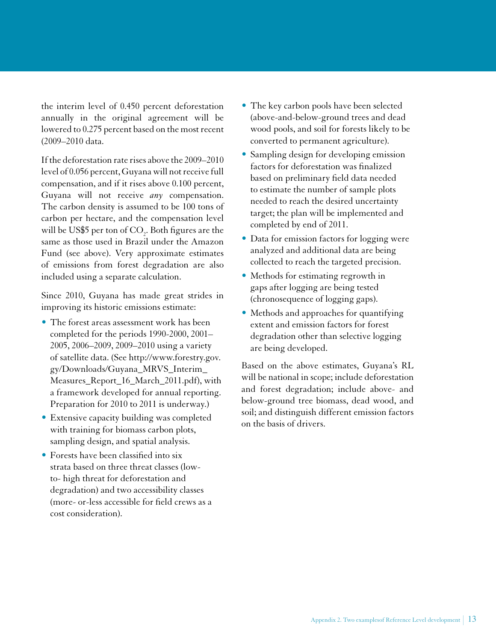the interim level of 0.450 percent deforestation annually in the original agreement will be lowered to 0.275 percent based on the most recent (2009–2010 data.

If the deforestation rate rises above the 2009–2010 level of 0.056 percent, Guyana will not receive full compensation, and if it rises above 0.100 percent, Guyana will not receive *any* compensation. The carbon density is assumed to be 100 tons of carbon per hectare, and the compensation level will be US\$5 per ton of  $\mathrm{CO}_2$ . Both figures are the same as those used in Brazil under the Amazon Fund (see above). Very approximate estimates of emissions from forest degradation are also included using a separate calculation.

Since 2010, Guyana has made great strides in improving its historic emissions estimate:

- The forest areas assessment work has been completed for the periods 1990-2000, 2001– 2005, 2006–2009, 2009–2010 using a variety of satellite data. (See [http://www.forestry.gov.](http://www.forestry.gov.gy/Downloads/Guyana_MRVS_Interim_Measures_Report_16_March_2011.pdf) [gy/Downloads/Guyana\\_MRVS\\_Interim\\_](http://www.forestry.gov.gy/Downloads/Guyana_MRVS_Interim_Measures_Report_16_March_2011.pdf) [Measures\\_Report\\_16\\_March\\_2011.pdf](http://www.forestry.gov.gy/Downloads/Guyana_MRVS_Interim_Measures_Report_16_March_2011.pdf)), with a framework developed for annual reporting. Preparation for 2010 to 2011 is underway.)
- Extensive capacity building was completed with training for biomass carbon plots, sampling design, and spatial analysis.
- Forests have been classified into six strata based on three threat classes (lowto- high threat for deforestation and degradation) and two accessibility classes (more- or-less accessible for field crews as a cost consideration).
- The key carbon pools have been selected (above-and-below-ground trees and dead wood pools, and soil for forests likely to be converted to permanent agriculture).
- Sampling design for developing emission factors for deforestation was finalized based on preliminary field data needed to estimate the number of sample plots needed to reach the desired uncertainty target; the plan will be implemented and completed by end of 2011.
- Data for emission factors for logging were analyzed and additional data are being collected to reach the targeted precision.
- • Methods for estimating regrowth in gaps after logging are being tested (chronosequence of logging gaps).
- Methods and approaches for quantifying extent and emission factors for forest degradation other than selective logging are being developed.

Based on the above estimates, Guyana's RL will be national in scope; include deforestation and forest degradation; include above- and below-ground tree biomass, dead wood, and soil; and distinguish different emission factors on the basis of drivers.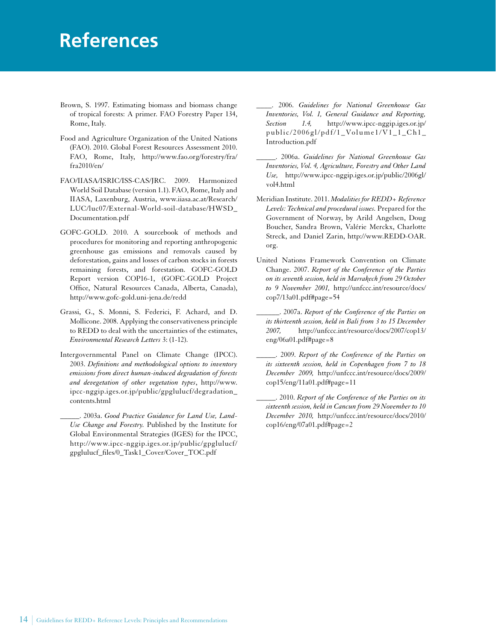# <span id="page-21-0"></span>**References**

- Brown, S. 1997. Estimating biomass and biomass change of tropical forests: A primer. FAO Forestry Paper 134, Rome, Italy.
- Food and Agriculture Organization of the United Nations (FAO). 2010. Global Forest Resources Assessment 2010. FAO, Rome, Italy, http://www.fao.org/forestry/fra/ fra2010/en/
- FAO/IIASA/ISRIC/ISS-CAS/JRC. 2009. Harmonized World Soil Database (version 1.1). FAO, Rome, Italy and IIASA, Laxenburg, Austria, [www.iiasa.ac.at/Research/](http://www.iiasa.ac.at/Research/LUC/luc07/External-World-soil-database/HWSD_Documentation.pdf) [LUC/luc07/External-World-soil-database/HWSD\\_](http://www.iiasa.ac.at/Research/LUC/luc07/External-World-soil-database/HWSD_Documentation.pdf) [Documentation.pdf](http://www.iiasa.ac.at/Research/LUC/luc07/External-World-soil-database/HWSD_Documentation.pdf)
- GOFC-GOLD. 2010. A sourcebook of methods and procedures for monitoring and reporting anthropogenic greenhouse gas emissions and removals caused by deforestation, gains and losses of carbon stocks in forests remaining forests, and forestation. GOFC-GOLD Report version COP16-1, (GOFC-GOLD Project Office, Natural Resources Canada, Alberta, Canada), [http://www.gofc-gold.uni-jena.de/redd](http://www.gofc-gold.uni-jena.de/redd/)
- Grassi, G., S. Monni, S. Federici, F. Achard, and D. Mollicone. 2008. Applying the conservativeness principle to REDD to deal with the uncertainties of the estimates, *Environmental Research Letters* 3: (1-12).
- Intergovernmental Panel on Climate Change (IPCC). 2003. *Definitions and methodological options to inventory emissions from direct human-induced degradation of forests and devegetation of other vegetation types*, http://www. ipcc-nggip.iges.or.jp/public/gpglulucf/degradation\_ contents.html
	- \_\_\_\_\_. 2003a. *Good Practice Guidance for Land Use, Land-Use Change and Forestry.* Published by the Institute for Global Environmental Strategies (IGES) for the IPCC, http://www.ipcc-nggip.iges.or.jp/public/gpglulucf/ gpglulucf\_files/0\_Task1\_Cover/Cover\_TOC.pdf

\_\_\_\_. 2006. *Guidelines for National Greenhouse Gas Inventories, Vol. 1, General Guidance and Reporting, Section 1.4,* http://www.ipcc-nggip.iges.or.jp/ public/2006gl/pdf/1\_Volume1/V1\_1\_Ch1\_ Introduction.pdf

- \_\_\_\_\_. 2006a. *Guidelines for National Greenhouse Gas Inventories, Vol. 4, Agriculture, Forestry and Other Land Use,* [http://www.ipcc-nggip.iges.or.jp/public/2006gl/](http://www.ipcc-nggip.iges.or.jp/public/2006gl/vol4.html) [vol4.html](http://www.ipcc-nggip.iges.or.jp/public/2006gl/vol4.html)
- Meridian Institute. 2011. *Modalities for REDD+ Reference Levels: Technical and procedural issues.* Prepared for the Government of Norway, by Arild Angelsen, Doug Boucher, Sandra Brown, Valérie Merckx, Charlotte Streck, and Daniel Zarin, http://www.REDD-OAR. org.
- United Nations Framework Convention on Climate Change. 2007. *Report of the Conference of the Parties on its seventh session, held in Marrakech from 29 October to 9 November 2001,* http://unfccc.int/resource/docs/ cop7/13a01.pdf#page=54
- \_\_\_\_\_\_. 2007a. *Report of the Conference of the Parties on its thirteenth session, held in Bali from 3 to 15 December 2007,* http://unfccc.int/resource/docs/2007/cop13/ eng/06a01.pdf#page=8
- \_\_\_\_\_. 2009. *Report of the Conference of the Parties on its sixteenth session, held in Copenhagen from 7 to 18 December 2009,* http://unfccc.int/resource/docs/2009/ cop15/eng/11a01.pdf#page=11
- \_\_\_\_\_. 2010. *Report of the Conference of the Parties on its sixteenth session, held in Cancun from 29 November to 10 December 2010,* http://unfccc.int/resource/docs/2010/ cop16/eng/07a01.pdf#page=2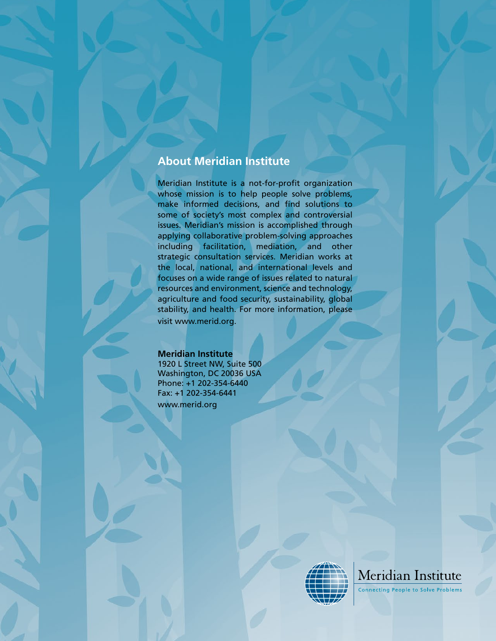# **About Meridian Institute**

Meridian Institute is a not-for-profit organization whose mission is to help people solve problems, make informed decisions, and find solutions to some of society's most complex and controversial issues. Meridian's mission is accomplished through applying collaborative problem-solving approaches including facilitation, mediation, and other strategic consultation services. Meridian works at the local, national, and international levels and focuses on a wide range of issues related to natural resources and environment, science and technology, agriculture and food security, sustainability, global stability, and health. For more information, please visit www.merid.org.

### **Meridian Institute**

1920 L Street NW, Suite 500 Washington, DC 20036 USA Phone: +1 202-354-6440 Fax: +1 202-354-6441 www.merid.org





**Connecting People to Solve Problems**